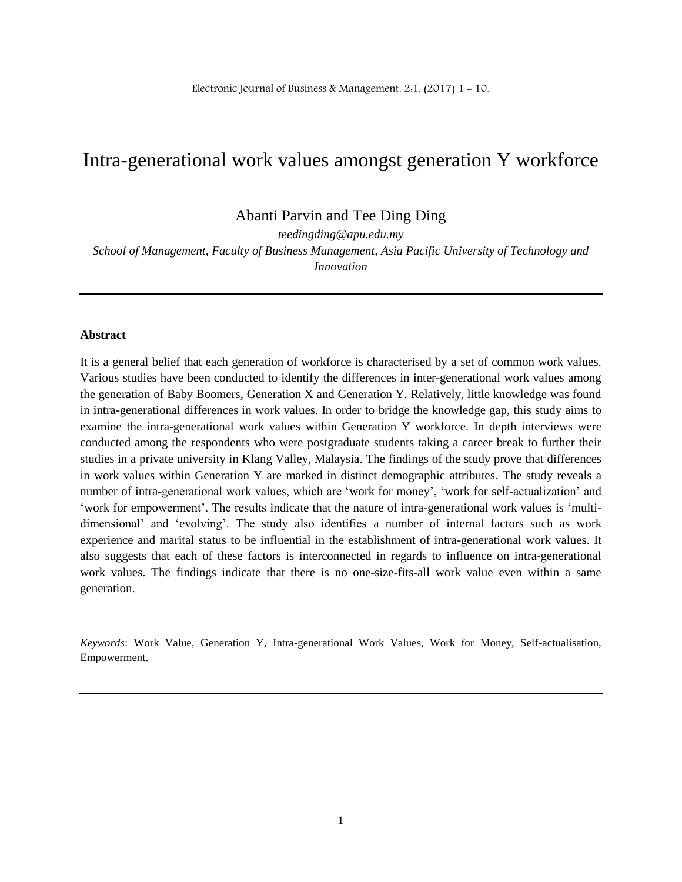# Intra-generational work values amongst generation Y workforce

Abanti Parvin and Tee Ding Ding

*teedingding@apu.edu.my School of Management, Faculty of Business Management, Asia Pacific University of Technology and Innovation*

#### **Abstract**

It is a general belief that each generation of workforce is characterised by a set of common work values. Various studies have been conducted to identify the differences in inter-generational work values among the generation of Baby Boomers, Generation X and Generation Y. Relatively, little knowledge was found in intra-generational differences in work values. In order to bridge the knowledge gap, this study aims to examine the intra-generational work values within Generation Y workforce. In depth interviews were conducted among the respondents who were postgraduate students taking a career break to further their studies in a private university in Klang Valley, Malaysia. The findings of the study prove that differences in work values within Generation Y are marked in distinct demographic attributes. The study reveals a number of intra-generational work values, which are 'work for money', 'work for self-actualization' and 'work for empowerment'. The results indicate that the nature of intra-generational work values is 'multidimensional' and 'evolving'. The study also identifies a number of internal factors such as work experience and marital status to be influential in the establishment of intra-generational work values. It also suggests that each of these factors is interconnected in regards to influence on intra-generational work values. The findings indicate that there is no one-size-fits-all work value even within a same generation.

*Keywords*: Work Value, Generation Y, Intra-generational Work Values, Work for Money, Self-actualisation, Empowerment.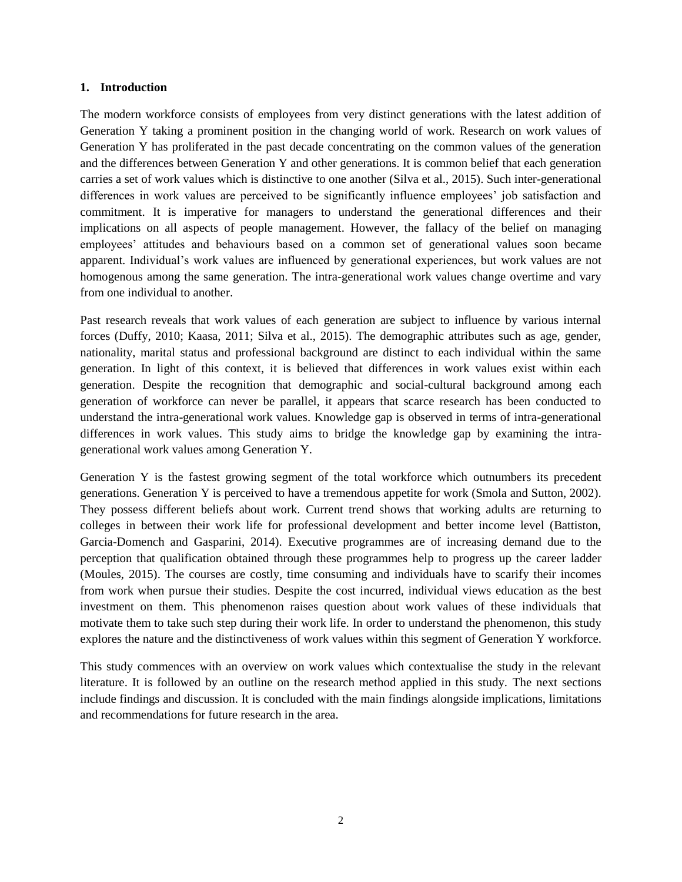#### **1. Introduction**

The modern workforce consists of employees from very distinct generations with the latest addition of Generation Y taking a prominent position in the changing world of work. Research on work values of Generation Y has proliferated in the past decade concentrating on the common values of the generation and the differences between Generation Y and other generations. It is common belief that each generation carries a set of work values which is distinctive to one another (Silva et al., 2015). Such inter-generational differences in work values are perceived to be significantly influence employees' job satisfaction and commitment. It is imperative for managers to understand the generational differences and their implications on all aspects of people management. However, the fallacy of the belief on managing employees' attitudes and behaviours based on a common set of generational values soon became apparent. Individual's work values are influenced by generational experiences, but work values are not homogenous among the same generation. The intra-generational work values change overtime and vary from one individual to another.

Past research reveals that work values of each generation are subject to influence by various internal forces (Duffy, 2010; Kaasa, 2011; Silva et al., 2015). The demographic attributes such as age, gender, nationality, marital status and professional background are distinct to each individual within the same generation. In light of this context, it is believed that differences in work values exist within each generation. Despite the recognition that demographic and social-cultural background among each generation of workforce can never be parallel, it appears that scarce research has been conducted to understand the intra-generational work values. Knowledge gap is observed in terms of intra-generational differences in work values. This study aims to bridge the knowledge gap by examining the intragenerational work values among Generation Y.

Generation Y is the fastest growing segment of the total workforce which outnumbers its precedent generations. Generation Y is perceived to have a tremendous appetite for work (Smola and Sutton, 2002). They possess different beliefs about work. Current trend shows that working adults are returning to colleges in between their work life for professional development and better income level (Battiston, Garcia-Domench and Gasparini, 2014). Executive programmes are of increasing demand due to the perception that qualification obtained through these programmes help to progress up the career ladder (Moules, 2015). The courses are costly, time consuming and individuals have to scarify their incomes from work when pursue their studies. Despite the cost incurred, individual views education as the best investment on them. This phenomenon raises question about work values of these individuals that motivate them to take such step during their work life. In order to understand the phenomenon, this study explores the nature and the distinctiveness of work values within this segment of Generation Y workforce.

This study commences with an overview on work values which contextualise the study in the relevant literature. It is followed by an outline on the research method applied in this study. The next sections include findings and discussion. It is concluded with the main findings alongside implications, limitations and recommendations for future research in the area.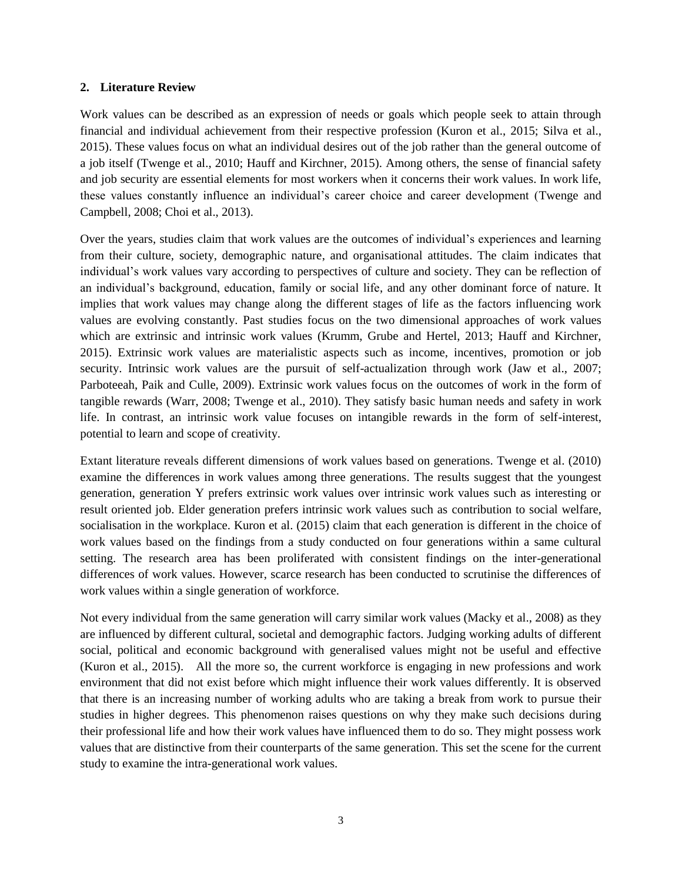#### **2. Literature Review**

Work values can be described as an expression of needs or goals which people seek to attain through financial and individual achievement from their respective profession (Kuron et al., 2015; Silva et al., 2015). These values focus on what an individual desires out of the job rather than the general outcome of a job itself (Twenge et al., 2010; Hauff and Kirchner, 2015). Among others, the sense of financial safety and job security are essential elements for most workers when it concerns their work values. In work life, these values constantly influence an individual's career choice and career development (Twenge and Campbell, 2008; Choi et al., 2013).

Over the years, studies claim that work values are the outcomes of individual's experiences and learning from their culture, society, demographic nature, and organisational attitudes. The claim indicates that individual's work values vary according to perspectives of culture and society. They can be reflection of an individual's background, education, family or social life, and any other dominant force of nature. It implies that work values may change along the different stages of life as the factors influencing work values are evolving constantly. Past studies focus on the two dimensional approaches of work values which are extrinsic and intrinsic work values (Krumm, Grube and Hertel, 2013; Hauff and Kirchner, 2015). Extrinsic work values are materialistic aspects such as income, incentives, promotion or job security. Intrinsic work values are the pursuit of self-actualization through work (Jaw et al., 2007; Parboteeah, Paik and Culle, 2009). Extrinsic work values focus on the outcomes of work in the form of tangible rewards (Warr, 2008; Twenge et al., 2010). They satisfy basic human needs and safety in work life. In contrast, an intrinsic work value focuses on intangible rewards in the form of self-interest, potential to learn and scope of creativity.

Extant literature reveals different dimensions of work values based on generations. Twenge et al. (2010) examine the differences in work values among three generations. The results suggest that the youngest generation, generation Y prefers extrinsic work values over intrinsic work values such as interesting or result oriented job. Elder generation prefers intrinsic work values such as contribution to social welfare, socialisation in the workplace. Kuron et al. (2015) claim that each generation is different in the choice of work values based on the findings from a study conducted on four generations within a same cultural setting. The research area has been proliferated with consistent findings on the inter-generational differences of work values. However, scarce research has been conducted to scrutinise the differences of work values within a single generation of workforce.

Not every individual from the same generation will carry similar work values (Macky et al., 2008) as they are influenced by different cultural, societal and demographic factors. Judging working adults of different social, political and economic background with generalised values might not be useful and effective (Kuron et al., 2015). All the more so, the current workforce is engaging in new professions and work environment that did not exist before which might influence their work values differently. It is observed that there is an increasing number of working adults who are taking a break from work to pursue their studies in higher degrees. This phenomenon raises questions on why they make such decisions during their professional life and how their work values have influenced them to do so. They might possess work values that are distinctive from their counterparts of the same generation. This set the scene for the current study to examine the intra-generational work values.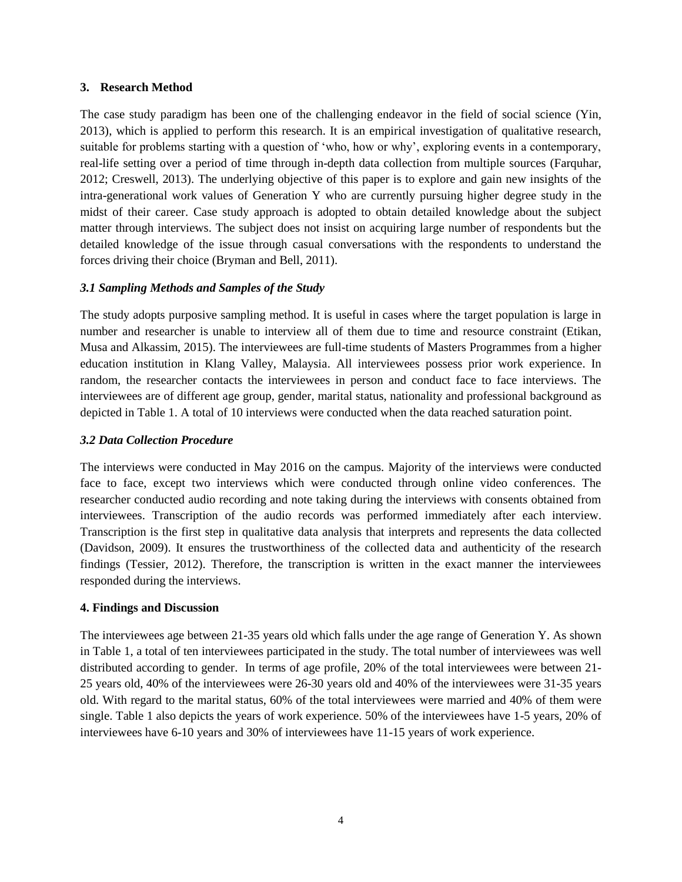#### **3. Research Method**

The case study paradigm has been one of the challenging endeavor in the field of social science (Yin, 2013), which is applied to perform this research. It is an empirical investigation of qualitative research, suitable for problems starting with a question of 'who, how or why', exploring events in a contemporary, real-life setting over a period of time through in-depth data collection from multiple sources (Farquhar, 2012; Creswell, 2013). The underlying objective of this paper is to explore and gain new insights of the intra-generational work values of Generation Y who are currently pursuing higher degree study in the midst of their career. Case study approach is adopted to obtain detailed knowledge about the subject matter through interviews. The subject does not insist on acquiring large number of respondents but the detailed knowledge of the issue through casual conversations with the respondents to understand the forces driving their choice (Bryman and Bell, 2011).

## *3.1 Sampling Methods and Samples of the Study*

The study adopts purposive sampling method. It is useful in cases where the target population is large in number and researcher is unable to interview all of them due to time and resource constraint (Etikan, Musa and Alkassim, 2015). The interviewees are full-time students of Masters Programmes from a higher education institution in Klang Valley, Malaysia. All interviewees possess prior work experience. In random, the researcher contacts the interviewees in person and conduct face to face interviews. The interviewees are of different age group, gender, marital status, nationality and professional background as depicted in Table 1. A total of 10 interviews were conducted when the data reached saturation point.

### *3.2 Data Collection Procedure*

The interviews were conducted in May 2016 on the campus. Majority of the interviews were conducted face to face, except two interviews which were conducted through online video conferences. The researcher conducted audio recording and note taking during the interviews with consents obtained from interviewees. Transcription of the audio records was performed immediately after each interview. Transcription is the first step in qualitative data analysis that interprets and represents the data collected (Davidson, 2009). It ensures the trustworthiness of the collected data and authenticity of the research findings (Tessier, 2012). Therefore, the transcription is written in the exact manner the interviewees responded during the interviews.

## **4. Findings and Discussion**

The interviewees age between 21-35 years old which falls under the age range of Generation Y. As shown in Table 1, a total of ten interviewees participated in the study. The total number of interviewees was well distributed according to gender. In terms of age profile, 20% of the total interviewees were between 21- 25 years old, 40% of the interviewees were 26-30 years old and 40% of the interviewees were 31-35 years old. With regard to the marital status, 60% of the total interviewees were married and 40% of them were single. Table 1 also depicts the years of work experience. 50% of the interviewees have 1-5 years, 20% of interviewees have 6-10 years and 30% of interviewees have 11-15 years of work experience.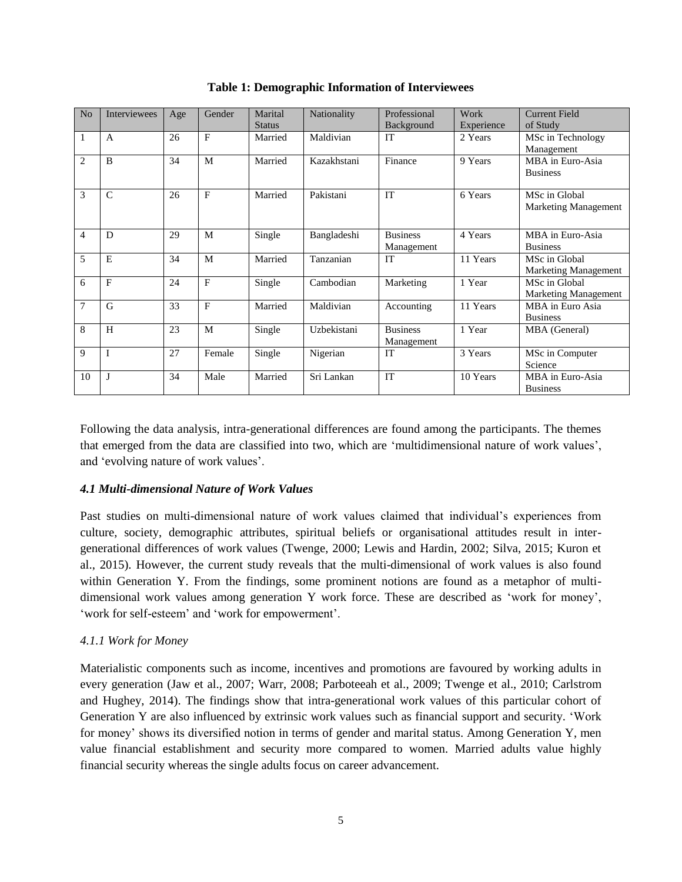| No             | <b>Interviewees</b> | Age | Gender | Marital       | Nationality | Professional    | Work       | <b>Current Field</b>        |
|----------------|---------------------|-----|--------|---------------|-------------|-----------------|------------|-----------------------------|
|                |                     |     |        | <b>Status</b> |             | Background      | Experience | of Study                    |
| 1              | A                   | 26  | F      | Married       | Maldivian   | <b>IT</b>       | 2 Years    | MSc in Technology           |
|                |                     |     |        |               |             |                 |            | Management                  |
| $\overline{2}$ | <sub>B</sub>        | 34  | M      | Married       | Kazakhstani | Finance         | 9 Years    | MBA in Euro-Asia            |
|                |                     |     |        |               |             |                 |            | <b>Business</b>             |
|                |                     |     |        |               |             |                 |            |                             |
|                |                     |     |        |               |             |                 |            |                             |
| 3              | $\mathsf{C}$        | 26  | F      | Married       | Pakistani   | <b>IT</b>       | 6 Years    | MSc in Global               |
|                |                     |     |        |               |             |                 |            | <b>Marketing Management</b> |
|                |                     |     |        |               |             |                 |            |                             |
| 4              | D                   | 29  | M      | Single        | Bangladeshi | <b>Business</b> | 4 Years    | MBA in Euro-Asia            |
|                |                     |     |        |               |             | Management      |            | <b>Business</b>             |
| 5              | E                   | 34  | M      | Married       | Tanzanian   | <b>IT</b>       | 11 Years   | MSc in Global               |
|                |                     |     |        |               |             |                 |            | <b>Marketing Management</b> |
| 6              | F                   | 24  | F      |               | Cambodian   | Marketing       | 1 Year     | MSc in Global               |
|                |                     |     |        | Single        |             |                 |            |                             |
|                |                     |     |        |               |             |                 |            | <b>Marketing Management</b> |
| $\overline{7}$ | G                   | 33  | F      | Married       | Maldivian   | Accounting      | 11 Years   | MBA in Euro Asia            |
|                |                     |     |        |               |             |                 |            | <b>Business</b>             |
| 8              | H                   | 23  | M      | Single        | Uzbekistani | <b>Business</b> | 1 Year     | MBA (General)               |
|                |                     |     |        |               |             | Management      |            |                             |
| 9              | $\mathbf{I}$        | 27  | Female | Single        | Nigerian    | <b>IT</b>       | 3 Years    | MSc in Computer             |
|                |                     |     |        |               |             |                 |            | Science                     |
|                | J                   | 34  | Male   | Married       | Sri Lankan  | IT              | 10 Years   | MBA in Euro-Asia            |
| 10             |                     |     |        |               |             |                 |            |                             |
|                |                     |     |        |               |             |                 |            | <b>Business</b>             |

**Table 1: Demographic Information of Interviewees**

Following the data analysis, intra-generational differences are found among the participants. The themes that emerged from the data are classified into two, which are 'multidimensional nature of work values', and 'evolving nature of work values'.

## *4.1 Multi-dimensional Nature of Work Values*

Past studies on multi-dimensional nature of work values claimed that individual's experiences from culture, society, demographic attributes, spiritual beliefs or organisational attitudes result in intergenerational differences of work values (Twenge, 2000; Lewis and Hardin, 2002; Silva, 2015; Kuron et al., 2015). However, the current study reveals that the multi-dimensional of work values is also found within Generation Y. From the findings, some prominent notions are found as a metaphor of multidimensional work values among generation Y work force. These are described as 'work for money', 'work for self-esteem' and 'work for empowerment'.

## *4.1.1 Work for Money*

Materialistic components such as income, incentives and promotions are favoured by working adults in every generation (Jaw et al., 2007; Warr, 2008; Parboteeah et al., 2009; Twenge et al., 2010; Carlstrom and Hughey, 2014). The findings show that intra-generational work values of this particular cohort of Generation Y are also influenced by extrinsic work values such as financial support and security. 'Work for money' shows its diversified notion in terms of gender and marital status. Among Generation Y, men value financial establishment and security more compared to women. Married adults value highly financial security whereas the single adults focus on career advancement.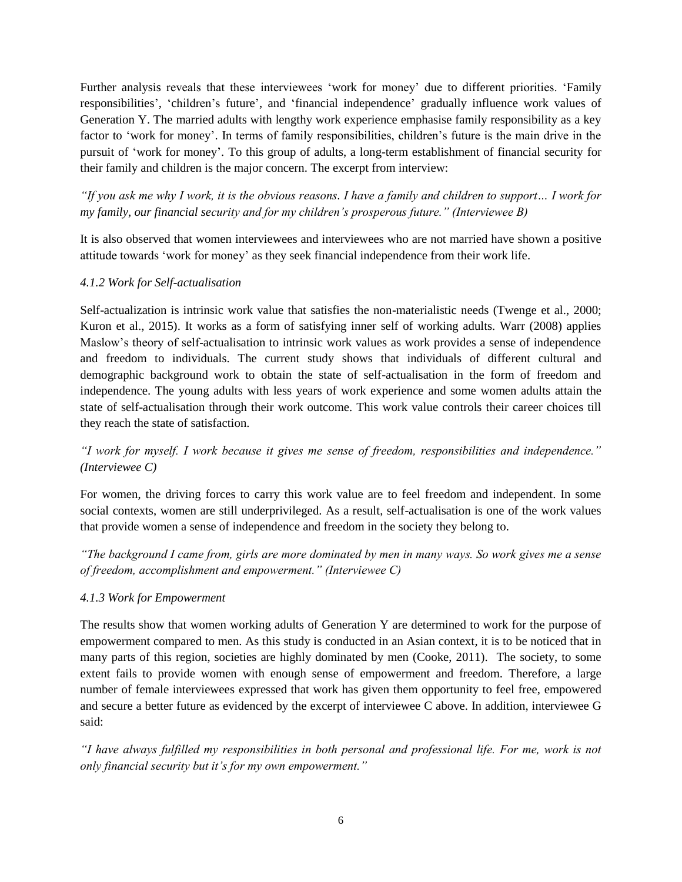Further analysis reveals that these interviewees 'work for money' due to different priorities. 'Family responsibilities', 'children's future', and 'financial independence' gradually influence work values of Generation Y. The married adults with lengthy work experience emphasise family responsibility as a key factor to 'work for money'. In terms of family responsibilities, children's future is the main drive in the pursuit of 'work for money'. To this group of adults, a long-term establishment of financial security for their family and children is the major concern. The excerpt from interview:

*"If you ask me why I work, it is the obvious reasons. I have a family and children to support… I work for my family, our financial security and for my children's prosperous future." (Interviewee B)*

It is also observed that women interviewees and interviewees who are not married have shown a positive attitude towards 'work for money' as they seek financial independence from their work life.

# *4.1.2 Work for Self-actualisation*

Self-actualization is intrinsic work value that satisfies the non-materialistic needs (Twenge et al., 2000; Kuron et al., 2015). It works as a form of satisfying inner self of working adults. Warr (2008) applies Maslow's theory of self-actualisation to intrinsic work values as work provides a sense of independence and freedom to individuals. The current study shows that individuals of different cultural and demographic background work to obtain the state of self-actualisation in the form of freedom and independence. The young adults with less years of work experience and some women adults attain the state of self-actualisation through their work outcome. This work value controls their career choices till they reach the state of satisfaction.

# *"I work for myself. I work because it gives me sense of freedom, responsibilities and independence." (Interviewee C)*

For women, the driving forces to carry this work value are to feel freedom and independent. In some social contexts, women are still underprivileged. As a result, self-actualisation is one of the work values that provide women a sense of independence and freedom in the society they belong to.

*"The background I came from, girls are more dominated by men in many ways. So work gives me a sense of freedom, accomplishment and empowerment." (Interviewee C)*

# *4.1.3 Work for Empowerment*

The results show that women working adults of Generation Y are determined to work for the purpose of empowerment compared to men. As this study is conducted in an Asian context, it is to be noticed that in many parts of this region, societies are highly dominated by men (Cooke, 2011). The society, to some extent fails to provide women with enough sense of empowerment and freedom. Therefore, a large number of female interviewees expressed that work has given them opportunity to feel free, empowered and secure a better future as evidenced by the excerpt of interviewee C above. In addition, interviewee G said:

*"I have always fulfilled my responsibilities in both personal and professional life. For me, work is not only financial security but it's for my own empowerment."*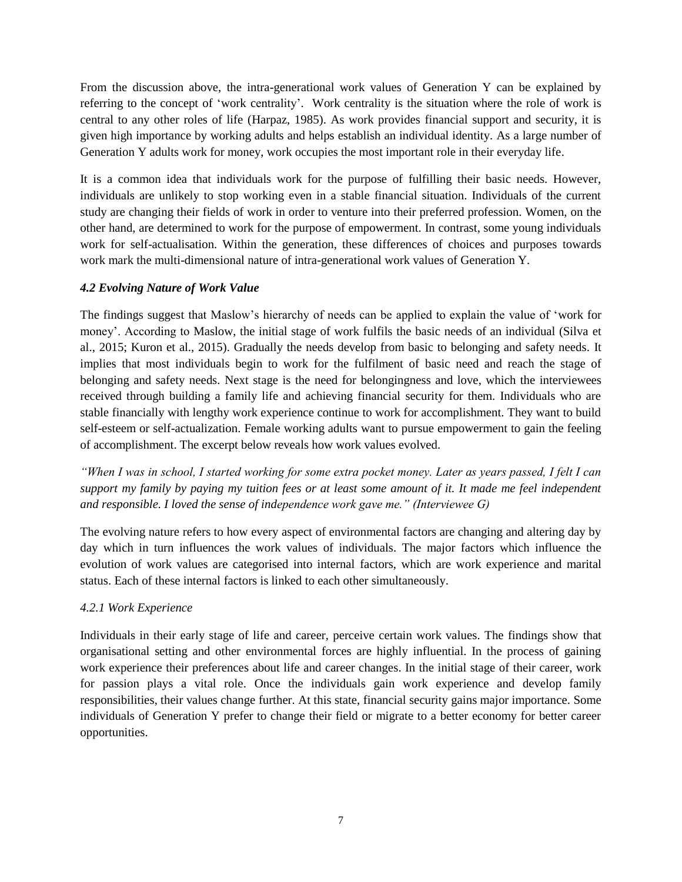From the discussion above, the intra-generational work values of Generation Y can be explained by referring to the concept of 'work centrality'. Work centrality is the situation where the role of work is central to any other roles of life (Harpaz, 1985). As work provides financial support and security, it is given high importance by working adults and helps establish an individual identity. As a large number of Generation Y adults work for money, work occupies the most important role in their everyday life.

It is a common idea that individuals work for the purpose of fulfilling their basic needs. However, individuals are unlikely to stop working even in a stable financial situation. Individuals of the current study are changing their fields of work in order to venture into their preferred profession. Women, on the other hand, are determined to work for the purpose of empowerment. In contrast, some young individuals work for self-actualisation. Within the generation, these differences of choices and purposes towards work mark the multi-dimensional nature of intra-generational work values of Generation Y.

# *4.2 Evolving Nature of Work Value*

The findings suggest that Maslow's hierarchy of needs can be applied to explain the value of 'work for money'. According to Maslow, the initial stage of work fulfils the basic needs of an individual (Silva et al., 2015; Kuron et al., 2015). Gradually the needs develop from basic to belonging and safety needs. It implies that most individuals begin to work for the fulfilment of basic need and reach the stage of belonging and safety needs. Next stage is the need for belongingness and love, which the interviewees received through building a family life and achieving financial security for them. Individuals who are stable financially with lengthy work experience continue to work for accomplishment. They want to build self-esteem or self-actualization. Female working adults want to pursue empowerment to gain the feeling of accomplishment. The excerpt below reveals how work values evolved.

*"When I was in school, I started working for some extra pocket money. Later as years passed, I felt I can support my family by paying my tuition fees or at least some amount of it. It made me feel independent and responsible. I loved the sense of independence work gave me." (Interviewee G)* 

The evolving nature refers to how every aspect of environmental factors are changing and altering day by day which in turn influences the work values of individuals. The major factors which influence the evolution of work values are categorised into internal factors, which are work experience and marital status. Each of these internal factors is linked to each other simultaneously.

# *4.2.1 Work Experience*

Individuals in their early stage of life and career, perceive certain work values. The findings show that organisational setting and other environmental forces are highly influential. In the process of gaining work experience their preferences about life and career changes. In the initial stage of their career, work for passion plays a vital role. Once the individuals gain work experience and develop family responsibilities, their values change further. At this state, financial security gains major importance. Some individuals of Generation Y prefer to change their field or migrate to a better economy for better career opportunities.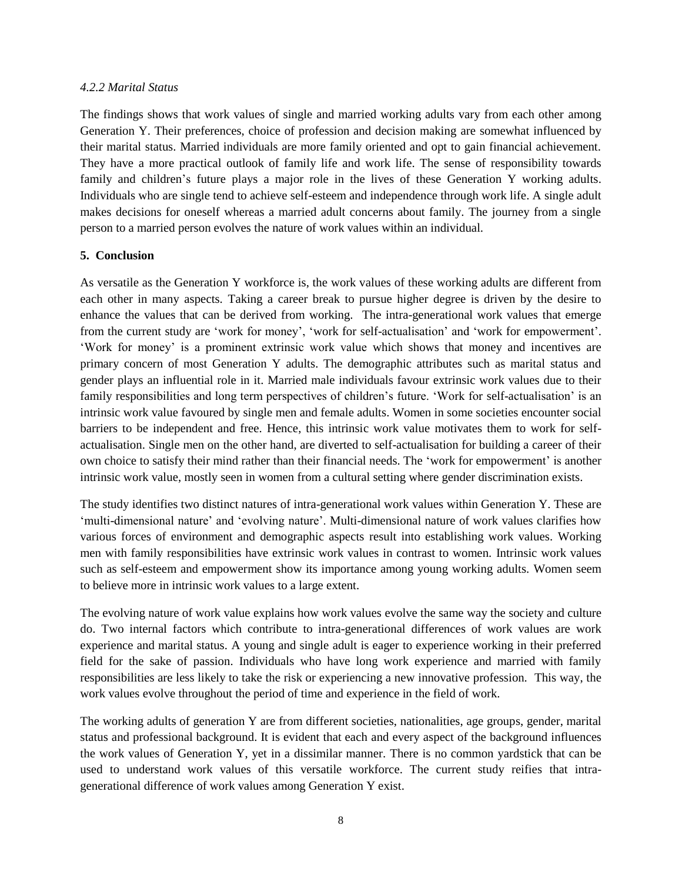#### *4.2.2 Marital Status*

The findings shows that work values of single and married working adults vary from each other among Generation Y. Their preferences, choice of profession and decision making are somewhat influenced by their marital status. Married individuals are more family oriented and opt to gain financial achievement. They have a more practical outlook of family life and work life. The sense of responsibility towards family and children's future plays a major role in the lives of these Generation Y working adults. Individuals who are single tend to achieve self-esteem and independence through work life. A single adult makes decisions for oneself whereas a married adult concerns about family. The journey from a single person to a married person evolves the nature of work values within an individual.

#### **5. Conclusion**

As versatile as the Generation Y workforce is, the work values of these working adults are different from each other in many aspects. Taking a career break to pursue higher degree is driven by the desire to enhance the values that can be derived from working. The intra-generational work values that emerge from the current study are 'work for money', 'work for self-actualisation' and 'work for empowerment'. 'Work for money' is a prominent extrinsic work value which shows that money and incentives are primary concern of most Generation Y adults. The demographic attributes such as marital status and gender plays an influential role in it. Married male individuals favour extrinsic work values due to their family responsibilities and long term perspectives of children's future. 'Work for self-actualisation' is an intrinsic work value favoured by single men and female adults. Women in some societies encounter social barriers to be independent and free. Hence, this intrinsic work value motivates them to work for selfactualisation. Single men on the other hand, are diverted to self-actualisation for building a career of their own choice to satisfy their mind rather than their financial needs. The 'work for empowerment' is another intrinsic work value, mostly seen in women from a cultural setting where gender discrimination exists.

The study identifies two distinct natures of intra-generational work values within Generation Y. These are 'multi-dimensional nature' and 'evolving nature'. Multi-dimensional nature of work values clarifies how various forces of environment and demographic aspects result into establishing work values. Working men with family responsibilities have extrinsic work values in contrast to women. Intrinsic work values such as self-esteem and empowerment show its importance among young working adults. Women seem to believe more in intrinsic work values to a large extent.

The evolving nature of work value explains how work values evolve the same way the society and culture do. Two internal factors which contribute to intra-generational differences of work values are work experience and marital status. A young and single adult is eager to experience working in their preferred field for the sake of passion. Individuals who have long work experience and married with family responsibilities are less likely to take the risk or experiencing a new innovative profession. This way, the work values evolve throughout the period of time and experience in the field of work.

The working adults of generation Y are from different societies, nationalities, age groups, gender, marital status and professional background. It is evident that each and every aspect of the background influences the work values of Generation Y, yet in a dissimilar manner. There is no common yardstick that can be used to understand work values of this versatile workforce. The current study reifies that intragenerational difference of work values among Generation Y exist.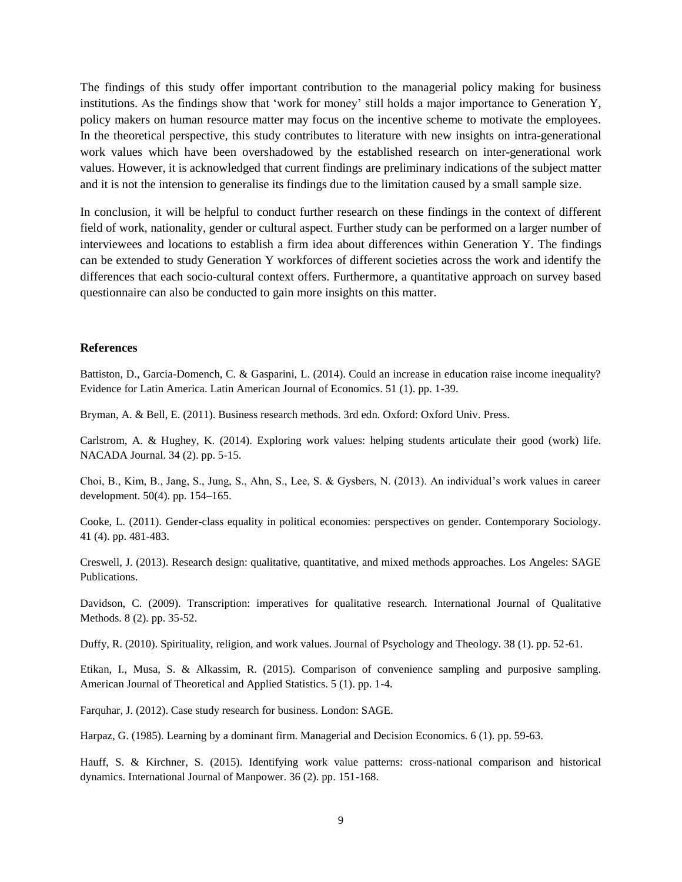The findings of this study offer important contribution to the managerial policy making for business institutions. As the findings show that 'work for money' still holds a major importance to Generation Y, policy makers on human resource matter may focus on the incentive scheme to motivate the employees. In the theoretical perspective, this study contributes to literature with new insights on intra-generational work values which have been overshadowed by the established research on inter-generational work values. However, it is acknowledged that current findings are preliminary indications of the subject matter and it is not the intension to generalise its findings due to the limitation caused by a small sample size.

In conclusion, it will be helpful to conduct further research on these findings in the context of different field of work, nationality, gender or cultural aspect. Further study can be performed on a larger number of interviewees and locations to establish a firm idea about differences within Generation Y. The findings can be extended to study Generation Y workforces of different societies across the work and identify the differences that each socio-cultural context offers. Furthermore, a quantitative approach on survey based questionnaire can also be conducted to gain more insights on this matter.

#### **References**

Battiston, D., Garcia-Domench, C. & Gasparini, L. (2014). Could an increase in education raise income inequality? Evidence for Latin America. Latin American Journal of Economics. 51 (1). pp. 1-39.

Bryman, A. & Bell, E. (2011). Business research methods. 3rd edn. Oxford: Oxford Univ. Press.

Carlstrom, A. & Hughey, K. (2014). Exploring work values: helping students articulate their good (work) life. NACADA Journal. 34 (2). pp. 5-15.

Choi, B., Kim, B., Jang, S., Jung, S., Ahn, S., Lee, S. & Gysbers, N. (2013). An individual's work values in career development. 50(4). pp. 154–165.

Cooke, L. (2011). Gender-class equality in political economies: perspectives on gender. Contemporary Sociology. 41 (4). pp. 481-483.

Creswell, J. (2013). Research design: qualitative, quantitative, and mixed methods approaches. Los Angeles: SAGE Publications.

Davidson, C. (2009). Transcription: imperatives for qualitative research. International Journal of Qualitative Methods. 8 (2). pp. 35-52.

Duffy, R. (2010). Spirituality, religion, and work values. Journal of Psychology and Theology. 38 (1). pp. 52-61.

Etikan, I., Musa, S. & Alkassim, R. (2015). Comparison of convenience sampling and purposive sampling. American Journal of Theoretical and Applied Statistics. 5 (1). pp. 1-4.

Farquhar, J. (2012). Case study research for business. London: SAGE.

Harpaz, G. (1985). Learning by a dominant firm. Managerial and Decision Economics. 6 (1). pp. 59-63.

Hauff, S. & Kirchner, S. (2015). Identifying work value patterns: cross-national comparison and historical dynamics. International Journal of Manpower. 36 (2). pp. 151-168.